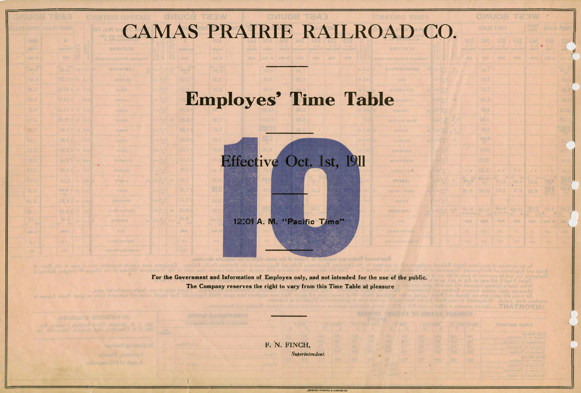|  |  |  | CAMAS PRAIRIE RAILROAD CO. |
|--|--|--|----------------------------|
|  |  |  |                            |
|  |  |  |                            |

## **Employes' Time Table**



12:01 A. M. "Pacific Time"

East-bound Trains are superior to frains of the sam the Operating Department Rules and Regulations of the Northern Pacific

**For the** Government and Information of Employes only, and not intended for the use of the public. **The Company reserves the right to vary from this Time Table at pleasure** 

block to agent North Lanwal by

with .

F. N. FINCH, *Superintendent.* 

'

**TAWSAS TRON** 

HAJEOL

WOTSIWSJ

| bnuog fes3<br>013<br><b>DUST</b><br>Joseph to Sweetward<br>684<br><b>GGB</b><br>Sweetwarer to Culdense<br>025<br><b>Cif)</b> S<br>Cuidese o Kesons<br><b>GOOD</b><br>020<br>Reuberts to Vollmer<br>bnuoE resW<br>038<br><b>BUYCE</b><br>Vollmer to Reubeas |                         | 14 AE-6-F 2 AMER | <b>IDISTRIC TESTIT</b> |
|------------------------------------------------------------------------------------------------------------------------------------------------------------------------------------------------------------------------------------------------------------|-------------------------|------------------|------------------------|
|                                                                                                                                                                                                                                                            | $\overline{\mathbb{R}}$ | A                |                        |
|                                                                                                                                                                                                                                                            |                         |                  |                        |
|                                                                                                                                                                                                                                                            |                         |                  |                        |
|                                                                                                                                                                                                                                                            |                         |                  |                        |
|                                                                                                                                                                                                                                                            |                         |                  |                        |
|                                                                                                                                                                                                                                                            |                         |                  |                        |
|                                                                                                                                                                                                                                                            |                         |                  | Real and to Culdesse   |
| Culdevac to Sweetyvater.                                                                                                                                                                                                                                   |                         |                  |                        |
| dqsaul a tatewssewe                                                                                                                                                                                                                                        |                         |                  |                        |

 $\big($  $\left($ 

..EWISTON PRINTING & BINDINQ CO

**AUTHORIZED SURGEONS:** Mosaus, Chief Surgeon, Lewi

微小

**MOTZIWS** 

 $-3.1$ 

**BARKET AW** 

Time Over District

Joseph and Crongeville,

|                  |                               |                     | <b>GMUOB</b>                               |                           | <b>MEST</b>           |                |                 |
|------------------|-------------------------------|---------------------|--------------------------------------------|---------------------------|-----------------------|----------------|-----------------|
|                  |                               | FIRST CLASS         |                                            |                           | hnops2<br><b>HAND</b> | E1.ASS         | CRIM            |
|                  | <b>PES</b>                    | 849                 | 231                                        | <b>EES</b>                | Eoò                   | 228            |                 |
| ÎB               | <b>Pherica</b>                |                     |                                            |                           | inalant               | <b>Sigle 1</b> | x(x)            |
|                  | $v$ iini?                     | <b>VOAD</b>         | <b>Thea</b>                                | $-9714.12$                | glich.                | 河口网 10         |                 |
| $\frac{W}{1.5}$  |                               | $^{100}$            |                                            |                           |                       |                | οŧ              |
|                  |                               | 7.20                |                                            |                           |                       |                | ch.             |
|                  |                               | 7.45                |                                            |                           |                       |                | 253             |
| <b>Sta</b>       |                               | 01,3                |                                            |                           |                       |                | 81.0            |
|                  |                               | 88.8                |                                            |                           |                       |                | 24.01           |
|                  |                               | 08.8                |                                            |                           |                       |                | 11.25           |
| w<br>$x$ 2.3     |                               | 00.8                |                                            |                           |                       |                | 48.3            |
| $\mathcal{M}$    |                               | 88.0<br><b>Disc</b> |                                            |                           |                       |                | đ               |
|                  |                               | 70.01               |                                            |                           |                       |                | ale             |
|                  |                               | 81.01               |                                            |                           |                       |                | Or.             |
|                  | $\mathbb{R}$ . $\mathbb{P}_4$ | 82.01               | 水平                                         | $\mathcal{H},\mathcal{H}$ | 开展                    | $N\cdot P$ .   | OU.S            |
| $\mathbf{x}$     | EB.E                          | 10.33               | AJ WYWE MY<br>2.15                         | 林彦                        | $6.35^{10}$           | $0.5 - 0$      | 84              |
|                  | 81.8                          | 88.01               | 9.20                                       | 74.0                      | 6.45                  | <b>BR-S</b>    | Dai             |
|                  |                               |                     |                                            |                           |                       |                |                 |
| $\frac{2\pi}{T}$ |                               |                     | 03.5<br><b>OLO</b> (00.1) <b>ONE OLO</b> I |                           |                       | $h^{OO,1}$     | 01.3            |
|                  | <b>Viend</b>                  | vinc                | vilan                                      | <b>Well</b>               | vikelt                | 30 川           | $-100%$         |
|                  | <b>TS</b>                     | 183.2               | 凉.                                         | ios:                      | 18.                   | 02.0           | UV <sub>2</sub> |
|                  | の上が                           | 2.93                | T/M                                        | V.EX                      | 0.84                  | 4.01           | ž»              |

**MATROSMI** 

**10 DWITAN SDAMMOT** 

II